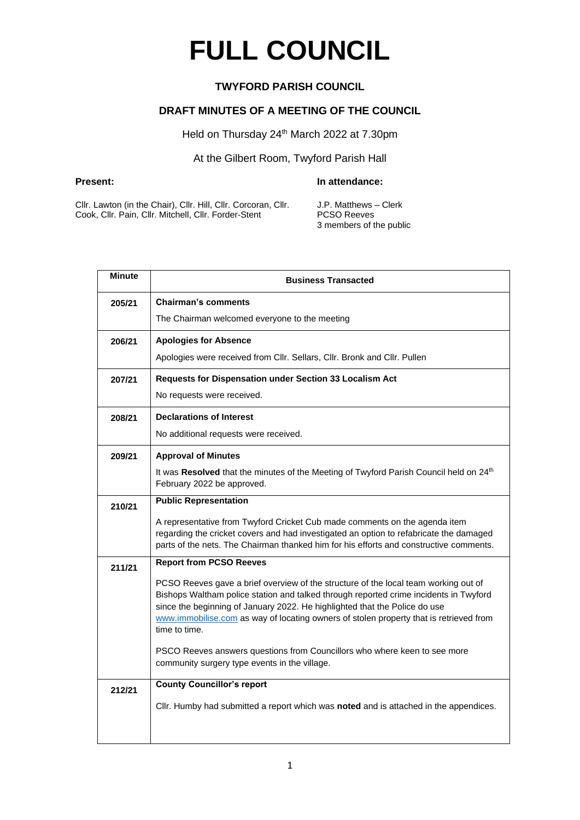# **FULL COUNCIL**

## **TWYFORD PARISH COUNCIL**

### **DRAFT MINUTES OF A MEETING OF THE COUNCIL**

Held on Thursday 24<sup>th</sup> March 2022 at 7.30pm

# At the Gilbert Room, Twyford Parish Hall

#### **Present: In attendance:**

Cllr. Lawton (in the Chair), Cllr. Hill, Cllr. Corcoran, Cllr. Cook, Cllr. Pain, Cllr. Mitchell, Cllr. Forder-Stent

J.P. Matthews – Clerk PCSO Reeves 3 members of the public

| <b>Minute</b> | <b>Business Transacted</b>                                                                                                                                                                                                                                                                                                                                            |  |  |
|---------------|-----------------------------------------------------------------------------------------------------------------------------------------------------------------------------------------------------------------------------------------------------------------------------------------------------------------------------------------------------------------------|--|--|
| 205/21        | <b>Chairman's comments</b>                                                                                                                                                                                                                                                                                                                                            |  |  |
|               | The Chairman welcomed everyone to the meeting                                                                                                                                                                                                                                                                                                                         |  |  |
| 206/21        | <b>Apologies for Absence</b>                                                                                                                                                                                                                                                                                                                                          |  |  |
|               | Apologies were received from Cllr. Sellars, Cllr. Bronk and Cllr. Pullen                                                                                                                                                                                                                                                                                              |  |  |
| 207/21        | Requests for Dispensation under Section 33 Localism Act                                                                                                                                                                                                                                                                                                               |  |  |
|               | No requests were received.                                                                                                                                                                                                                                                                                                                                            |  |  |
| 208/21        | <b>Declarations of Interest</b>                                                                                                                                                                                                                                                                                                                                       |  |  |
|               | No additional requests were received.                                                                                                                                                                                                                                                                                                                                 |  |  |
| 209/21        | <b>Approval of Minutes</b>                                                                                                                                                                                                                                                                                                                                            |  |  |
|               | It was Resolved that the minutes of the Meeting of Twyford Parish Council held on 24th<br>February 2022 be approved.                                                                                                                                                                                                                                                  |  |  |
| 210/21        | <b>Public Representation</b>                                                                                                                                                                                                                                                                                                                                          |  |  |
|               | A representative from Twyford Cricket Cub made comments on the agenda item<br>regarding the cricket covers and had investigated an option to refabricate the damaged<br>parts of the nets. The Chairman thanked him for his efforts and constructive comments.                                                                                                        |  |  |
| 211/21        | <b>Report from PCSO Reeves</b>                                                                                                                                                                                                                                                                                                                                        |  |  |
|               | PCSO Reeves gave a brief overview of the structure of the local team working out of<br>Bishops Waltham police station and talked through reported crime incidents in Twyford<br>since the beginning of January 2022. He highlighted that the Police do use<br>www.immobilise.com as way of locating owners of stolen property that is retrieved from<br>time to time. |  |  |
|               | PSCO Reeves answers questions from Councillors who where keen to see more<br>community surgery type events in the village.                                                                                                                                                                                                                                            |  |  |
| 212/21        | <b>County Councillor's report</b>                                                                                                                                                                                                                                                                                                                                     |  |  |
|               | Cllr. Humby had submitted a report which was noted and is attached in the appendices.                                                                                                                                                                                                                                                                                 |  |  |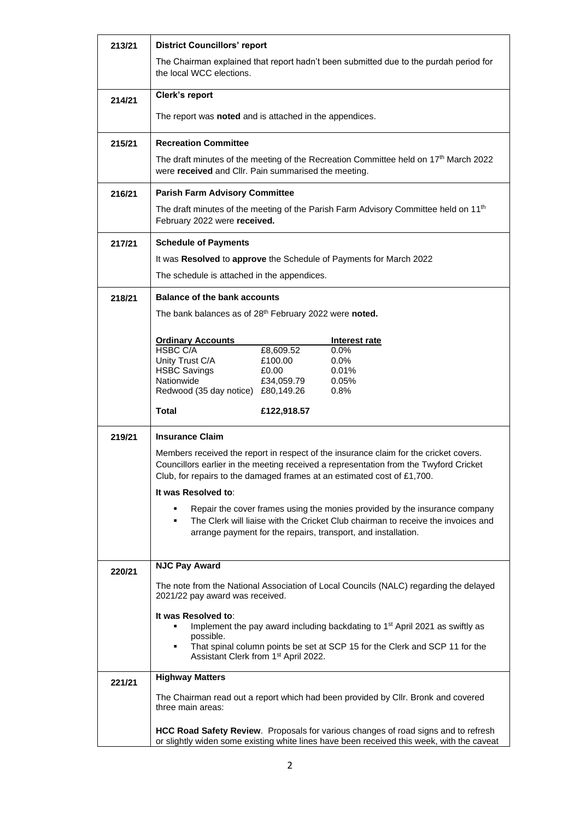| 213/21 | <b>District Councillors' report</b>                                                                                                                                      |  |                                                                                                                                                                                 |
|--------|--------------------------------------------------------------------------------------------------------------------------------------------------------------------------|--|---------------------------------------------------------------------------------------------------------------------------------------------------------------------------------|
|        | the local WCC elections.                                                                                                                                                 |  | The Chairman explained that report hadn't been submitted due to the purdah period for                                                                                           |
| 214/21 | Clerk's report                                                                                                                                                           |  |                                                                                                                                                                                 |
|        | The report was <b>noted</b> and is attached in the appendices.                                                                                                           |  |                                                                                                                                                                                 |
| 215/21 | <b>Recreation Committee</b>                                                                                                                                              |  |                                                                                                                                                                                 |
|        | were received and Cllr. Pain summarised the meeting.                                                                                                                     |  | The draft minutes of the meeting of the Recreation Committee held on 17th March 2022                                                                                            |
| 216/21 | <b>Parish Farm Advisory Committee</b>                                                                                                                                    |  |                                                                                                                                                                                 |
|        | February 2022 were received.                                                                                                                                             |  | The draft minutes of the meeting of the Parish Farm Advisory Committee held on 11 <sup>th</sup>                                                                                 |
| 217/21 | <b>Schedule of Payments</b>                                                                                                                                              |  |                                                                                                                                                                                 |
|        | It was Resolved to approve the Schedule of Payments for March 2022                                                                                                       |  |                                                                                                                                                                                 |
|        | The schedule is attached in the appendices.                                                                                                                              |  |                                                                                                                                                                                 |
| 218/21 | <b>Balance of the bank accounts</b>                                                                                                                                      |  |                                                                                                                                                                                 |
|        | The bank balances as of 28th February 2022 were noted.                                                                                                                   |  |                                                                                                                                                                                 |
|        | <b>Ordinary Accounts</b>                                                                                                                                                 |  | Interest rate                                                                                                                                                                   |
|        | <b>HSBC C/A</b><br>£8,609.52                                                                                                                                             |  | 0.0%                                                                                                                                                                            |
|        | Unity Trust C/A<br>£100.00<br><b>HSBC Savings</b><br>£0.00                                                                                                               |  | 0.0%<br>0.01%                                                                                                                                                                   |
|        | Nationwide<br>£34,059.79<br>Redwood (35 day notice) £80,149.26                                                                                                           |  | 0.05%<br>0.8%                                                                                                                                                                   |
|        | <b>Total</b><br>£122,918.57                                                                                                                                              |  |                                                                                                                                                                                 |
| 219/21 | <b>Insurance Claim</b>                                                                                                                                                   |  |                                                                                                                                                                                 |
|        | Club, for repairs to the damaged frames at an estimated cost of £1,700.                                                                                                  |  | Members received the report in respect of the insurance claim for the cricket covers.<br>Councillors earlier in the meeting received a representation from the Twyford Cricket  |
|        | It was Resolved to:                                                                                                                                                      |  |                                                                                                                                                                                 |
|        | Repair the cover frames using the monies provided by the insurance company<br>٠<br>The Clerk will liaise with the Cricket Club chairman to receive the invoices and<br>٠ |  |                                                                                                                                                                                 |
|        | arrange payment for the repairs, transport, and installation.                                                                                                            |  |                                                                                                                                                                                 |
|        |                                                                                                                                                                          |  |                                                                                                                                                                                 |
| 220/21 | <b>NJC Pay Award</b>                                                                                                                                                     |  |                                                                                                                                                                                 |
|        | 2021/22 pay award was received.                                                                                                                                          |  | The note from the National Association of Local Councils (NALC) regarding the delayed                                                                                           |
|        | It was Resolved to:                                                                                                                                                      |  |                                                                                                                                                                                 |
|        | ٠<br>possible.                                                                                                                                                           |  | Implement the pay award including backdating to 1 <sup>st</sup> April 2021 as swiftly as                                                                                        |
|        | ٠<br>Assistant Clerk from 1 <sup>st</sup> April 2022.                                                                                                                    |  | That spinal column points be set at SCP 15 for the Clerk and SCP 11 for the                                                                                                     |
| 221/21 | <b>Highway Matters</b>                                                                                                                                                   |  |                                                                                                                                                                                 |
|        | three main areas:                                                                                                                                                        |  | The Chairman read out a report which had been provided by CIIr. Bronk and covered                                                                                               |
|        |                                                                                                                                                                          |  | HCC Road Safety Review. Proposals for various changes of road signs and to refresh<br>or slightly widen some existing white lines have been received this week, with the caveat |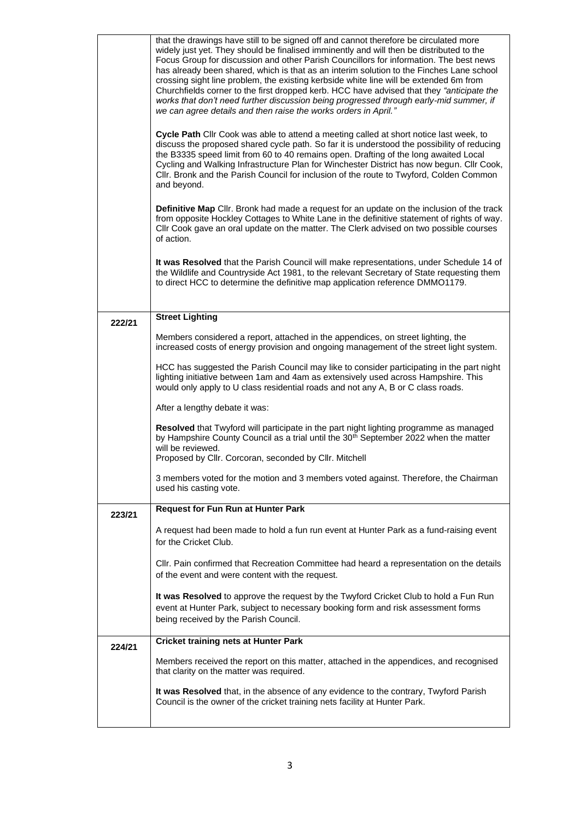|        | that the drawings have still to be signed off and cannot therefore be circulated more<br>widely just yet. They should be finalised imminently and will then be distributed to the<br>Focus Group for discussion and other Parish Councillors for information. The best news<br>has already been shared, which is that as an interim solution to the Finches Lane school<br>crossing sight line problem, the existing kerbside white line will be extended 6m from<br>Churchfields corner to the first dropped kerb. HCC have advised that they "anticipate the<br>works that don't need further discussion being progressed through early-mid summer, if<br>we can agree details and then raise the works orders in April." |
|--------|-----------------------------------------------------------------------------------------------------------------------------------------------------------------------------------------------------------------------------------------------------------------------------------------------------------------------------------------------------------------------------------------------------------------------------------------------------------------------------------------------------------------------------------------------------------------------------------------------------------------------------------------------------------------------------------------------------------------------------|
|        | Cycle Path Cllr Cook was able to attend a meeting called at short notice last week, to<br>discuss the proposed shared cycle path. So far it is understood the possibility of reducing<br>the B3335 speed limit from 60 to 40 remains open. Drafting of the long awaited Local<br>Cycling and Walking Infrastructure Plan for Winchester District has now begun. Cllr Cook,<br>Cllr. Bronk and the Parish Council for inclusion of the route to Twyford, Colden Common<br>and beyond.                                                                                                                                                                                                                                        |
|        | Definitive Map Cllr. Bronk had made a request for an update on the inclusion of the track<br>from opposite Hockley Cottages to White Lane in the definitive statement of rights of way.<br>Cllr Cook gave an oral update on the matter. The Clerk advised on two possible courses<br>of action.                                                                                                                                                                                                                                                                                                                                                                                                                             |
|        | It was Resolved that the Parish Council will make representations, under Schedule 14 of<br>the Wildlife and Countryside Act 1981, to the relevant Secretary of State requesting them<br>to direct HCC to determine the definitive map application reference DMMO1179.                                                                                                                                                                                                                                                                                                                                                                                                                                                       |
| 222/21 | <b>Street Lighting</b>                                                                                                                                                                                                                                                                                                                                                                                                                                                                                                                                                                                                                                                                                                      |
|        | Members considered a report, attached in the appendices, on street lighting, the<br>increased costs of energy provision and ongoing management of the street light system.                                                                                                                                                                                                                                                                                                                                                                                                                                                                                                                                                  |
|        | HCC has suggested the Parish Council may like to consider participating in the part night<br>lighting initiative between 1am and 4am as extensively used across Hampshire. This<br>would only apply to U class residential roads and not any A, B or C class roads.                                                                                                                                                                                                                                                                                                                                                                                                                                                         |
|        | After a lengthy debate it was:                                                                                                                                                                                                                                                                                                                                                                                                                                                                                                                                                                                                                                                                                              |
|        | Resolved that Twyford will participate in the part night lighting programme as managed<br>by Hampshire County Council as a trial until the 30 <sup>th</sup> September 2022 when the matter<br>will be reviewed.<br>Proposed by Cllr. Corcoran, seconded by Cllr. Mitchell                                                                                                                                                                                                                                                                                                                                                                                                                                                   |
|        | 3 members voted for the motion and 3 members voted against. Therefore, the Chairman<br>used his casting vote.                                                                                                                                                                                                                                                                                                                                                                                                                                                                                                                                                                                                               |
| 223/21 | <b>Request for Fun Run at Hunter Park</b>                                                                                                                                                                                                                                                                                                                                                                                                                                                                                                                                                                                                                                                                                   |
|        | A request had been made to hold a fun run event at Hunter Park as a fund-raising event<br>for the Cricket Club.                                                                                                                                                                                                                                                                                                                                                                                                                                                                                                                                                                                                             |
|        | CIIr. Pain confirmed that Recreation Committee had heard a representation on the details<br>of the event and were content with the request.                                                                                                                                                                                                                                                                                                                                                                                                                                                                                                                                                                                 |
|        | It was Resolved to approve the request by the Twyford Cricket Club to hold a Fun Run<br>event at Hunter Park, subject to necessary booking form and risk assessment forms<br>being received by the Parish Council.                                                                                                                                                                                                                                                                                                                                                                                                                                                                                                          |
| 224/21 | <b>Cricket training nets at Hunter Park</b>                                                                                                                                                                                                                                                                                                                                                                                                                                                                                                                                                                                                                                                                                 |
|        | Members received the report on this matter, attached in the appendices, and recognised<br>that clarity on the matter was required.                                                                                                                                                                                                                                                                                                                                                                                                                                                                                                                                                                                          |
|        | It was Resolved that, in the absence of any evidence to the contrary, Twyford Parish<br>Council is the owner of the cricket training nets facility at Hunter Park.                                                                                                                                                                                                                                                                                                                                                                                                                                                                                                                                                          |
|        |                                                                                                                                                                                                                                                                                                                                                                                                                                                                                                                                                                                                                                                                                                                             |